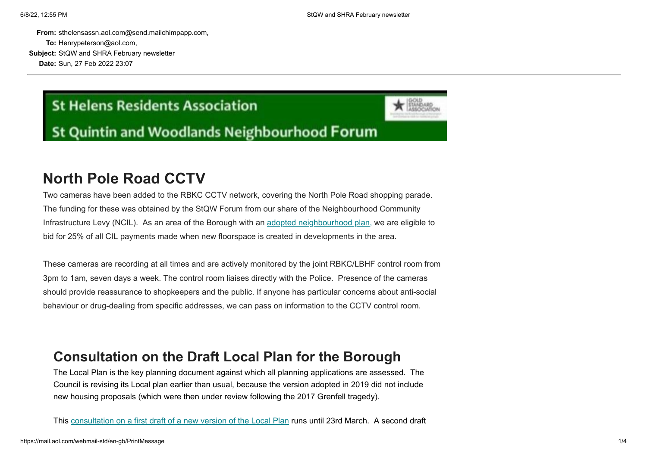**From:** sthelensassn.aol.com@send.mailchimpapp.com, **To:** Henrypeterson@aol.com, **Subject:** StQW and SHRA February newsletter

**Date:** Sun, 27 Feb 2022 23:07

# **St Helens Residents Association**

**St Quintin and Woodlands Neighbourhood Forum** 

# **North Pole Road CCTV**

Two cameras have been added to the RBKC CCTV network, covering the North Pole Road shopping parade. The funding for these was obtained by the StQW Forum from our share of the Neighbourhood Community Infrastructure Levy (NCIL). As an area of the Borough with an [adopted neighbourhood plan,](https://sthelensresidents.us8.list-manage.com/track/click?u=c9b2cf8a83a98f3a41a3651c9&id=7d3c65c7a5&e=e04a104173) we are eligible to bid for 25% of all CIL payments made when new floorspace is created in developments in the area.

These cameras are recording at all times and are actively monitored by the joint RBKC/LBHF control room from 3pm to 1am, seven days a week. The control room liaises directly with the Police. Presence of the cameras should provide reassurance to shopkeepers and the public. If anyone has particular concerns about anti-social behaviour or drug-dealing from specific addresses, we can pass on information to the CCTV control room.

### **Consultation on the Draft Local Plan for the Borough**

The Local Plan is the key planning document against which all planning applications are assessed. The Council is revising its Local plan earlier than usual, because the version adopted in 2019 did not include new housing proposals (which were then under review following the 2017 Grenfell tragedy).

This [consultation on a first draft of a new version of the Local Plan](https://sthelensresidents.us8.list-manage.com/track/click?u=c9b2cf8a83a98f3a41a3651c9&id=599806da1f&e=e04a104173) runs until 23rd March. A second draft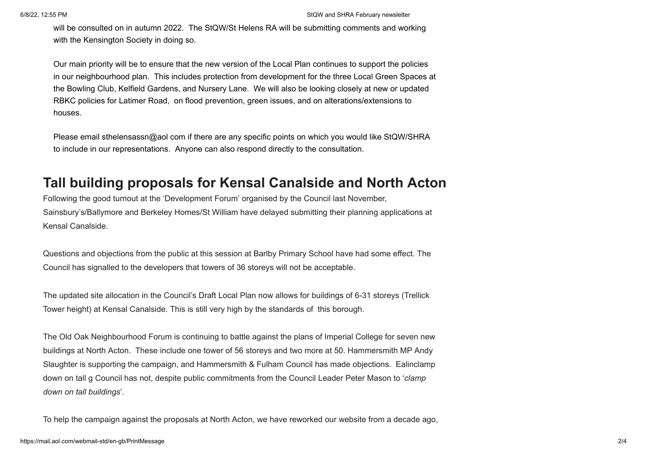will be consulted on in autumn 2022. The StQW/St Helens RA will be submitting comments and working with the Kensington Society in doing so.

Our main priority will be to ensure that the new version of the Local Plan continues to support the policies in our neighbourhood plan. This includes protection from development for the three Local Green Spaces at the Bowling Club, Kelfield Gardens, and Nursery Lane. We will also be looking closely at new or updated RBKC policies for Latimer Road, on flood prevention, green issues, and on alterations/extensions to houses.

Please email sthelensassn@aol com if there are any specific points on which you would like StQW/SHRA to include in our representations. Anyone can also respond directly to the consultation.

### **Tall building proposals for Kensal Canalside and North Acton**

Following the good turnout at the 'Development Forum' organised by the Council last November, Sainsbury's/Ballymore and Berkeley Homes/St William have delayed submitting their planning applications at Kensal Canalside.

Questions and objections from the public at this session at Barlby Primary School have had some effect. The Council has signalled to the developers that towers of 36 storeys will not be acceptable.

The updated site allocation in the Council's Draft Local Plan now allows for buildings of 6-31 storeys (Trellick Tower height) at Kensal Canalside. This is still very high by the standards of this borough.

The Old Oak Neighbourhood Forum is continuing to battle against the plans of Imperial College for seven new buildings at North Acton. These include one tower of 56 storeys and two more at 50. Hammersmith MP Andy Slaughter is supporting the campaign, and Hammersmith & Fulham Council has made objections. Ealinclamp down on tall g Council has not, despite public commitments from the Council Leader Peter Mason to '*clamp down on tall buildings*'.

To help the campaign against the proposals at North Acton, we have reworked our website from a decade ago,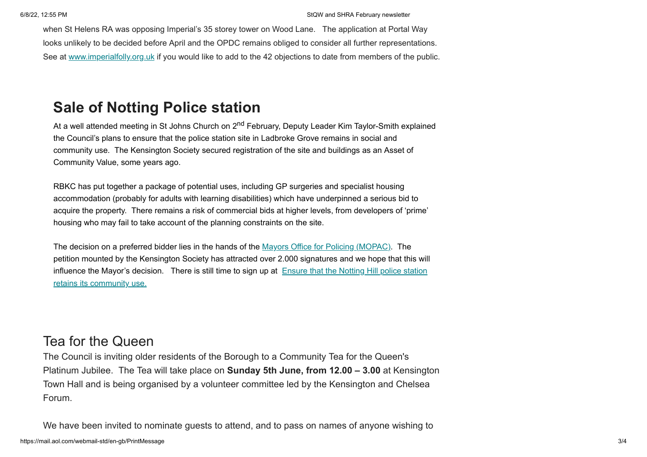when St Helens RA was opposing Imperial's 35 storey tower on Wood Lane. The application at Portal Way looks unlikely to be decided before April and the OPDC remains obliged to consider all further representations. See at [www.imperialfolly.org.uk](https://sthelensresidents.us8.list-manage.com/track/click?u=c9b2cf8a83a98f3a41a3651c9&id=9c1cb507b3&e=e04a104173) if you would like to add to the 42 objections to date from members of the public.

# **Sale of Notting Police station**

At a well attended meeting in St Johns Church on 2<sup>nd</sup> February, Deputy Leader Kim Taylor-Smith explained the Council's plans to ensure that the police station site in Ladbroke Grove remains in social and community use. The Kensington Society secured registration of the site and buildings as an Asset of Community Value, some years ago.

RBKC has put together a package of potential uses, including GP surgeries and specialist housing accommodation (probably for adults with learning disabilities) which have underpinned a serious bid to acquire the property. There remains a risk of commercial bids at higher levels, from developers of 'prime' housing who may fail to take account of the planning constraints on the site.

The decision on a preferred bidder lies in the hands of the [Mayors Office for Policing \(MOPAC\).](https://sthelensresidents.us8.list-manage.com/track/click?u=c9b2cf8a83a98f3a41a3651c9&id=9565a82fd8&e=e04a104173) The petition mounted by the Kensington Society has attracted over 2.000 signatures and we hope that this will [influence the Mayor's decision. There is still time to sign up at](https://sthelensresidents.us8.list-manage.com/track/click?u=c9b2cf8a83a98f3a41a3651c9&id=b1dcf885ee&e=e04a104173) Ensure that the Notting Hill police station retains its community use.

#### Tea for the Queen

The Council is inviting older residents of the Borough to a Community Tea for the Queen's Platinum Jubilee. The Tea will take place on **Sunday 5th June, from 12.00 – 3.00** at Kensington Town Hall and is being organised by a volunteer committee led by the Kensington and Chelsea Forum.

We have been invited to nominate guests to attend, and to pass on names of anyone wishing to